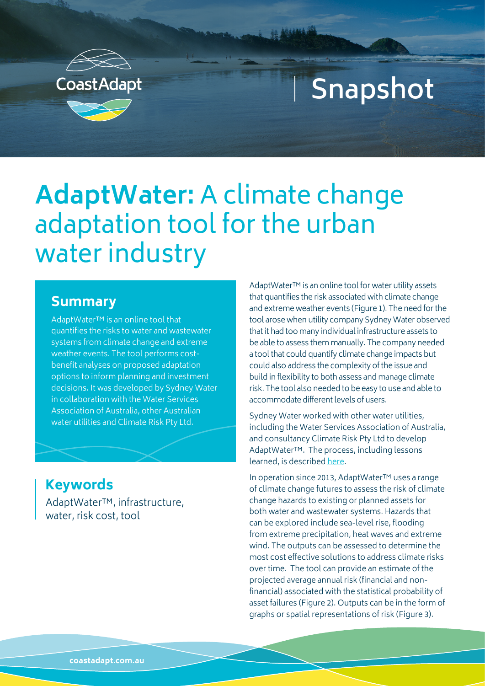

# **Snapshot**

## **AdaptWater:** A climate change adaptation tool for the urban water industry

#### **Summary**

AdaptWater™ is an online tool that quantifies the risks to water and wastewater systems from climate change and extreme weather events. The tool performs costbenefit analyses on proposed adaptation options to inform planning and investment decisions. It was developed by Sydney Water in collaboration with the Water Services Association of Australia, other Australian water utilities and Climate Risk Pty Ltd.

#### **Keywords**

AdaptWater™, infrastructure, water, risk cost, tool

AdaptWater™ is an online tool for water utility assets that quantifies the risk associated with climate change and extreme weather events (Figure 1). The need for the tool arose when utility company Sydney Water observed that it had too many individual infrastructure assets to be able to assess them manually. The company needed a tool that could quantify climate change impacts but could also address the complexity of the issue and build in flexibility to both assess and manage climate risk. The tool also needed to be easy to use and able to accommodate different levels of users.

Sydney Water worked with other water utilities, including the Water Services Association of Australia, and consultancy Climate Risk Pty Ltd to develop AdaptWater™. The process, including lessons learned, is described [here](https://www.nccarf.edu.au/localgov/sites/nccarf.edu.au.localgov/files/casestudies/pdf/Case%20Study_AdaptWaterTM%20online%20climate%20change%20analysis%20tool.pdf).

In operation since 2013, AdaptWater™ uses a range of climate change futures to assess the risk of climate change hazards to existing or planned assets for both water and wastewater systems. Hazards that can be explored include sea-level rise, flooding from extreme precipitation, heat waves and extreme wind. The outputs can be assessed to determine the most cost effective solutions to address climate risks over time. The tool can provide an estimate of the projected average annual risk (financial and nonfinancial) associated with the statistical probability of asset failures (Figure 2). Outputs can be in the form of graphs or spatial representations of risk (Figure 3).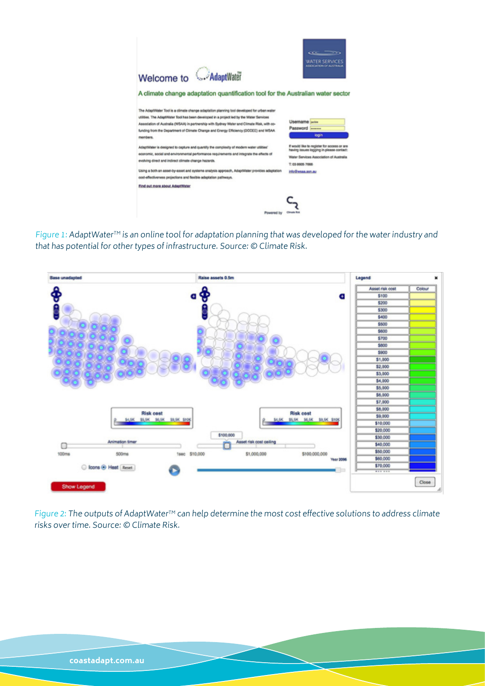

Figure 1: AdaptWater™ is an online tool for adaptation planning that was developed for the water industry and that has potential for other types of infrastructure. Source: © Climate Risk.



Figure 2: The outputs of AdaptWater<sup>™</sup> can help determine the most cost effective solutions to address climate risks over time. Source: © Climate Risk.